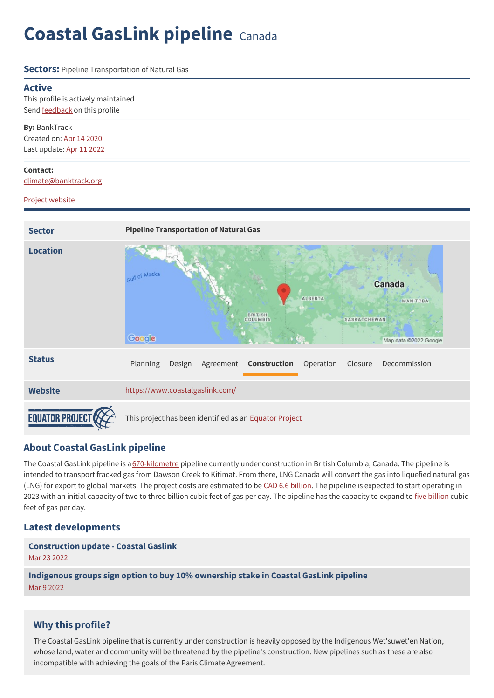# **Coastal GasLink pipeline** Canada

#### **Sectors:** Pipeline Transportation of Natural Gas

#### **Active**

This profile is actively maintained Send [feedback](https://www.banktrack.org/feedback/dodgydeal/coastal_gaslink_pipeline) on this profile

**By:** BankTrack Created on: Apr 14 2020 Last update: Apr 11 2022

#### **Contact:**

[climate@banktrack.org](mailto:Climate@banktrack.org)

#### Project [website](https://www.coastalgaslink.com/)



## **About Coastal GasLink pipeline**

The Coastal GasLink pipeline is a [670-kilometre](https://www.coastalgaslink.com/about/) pipeline currently under construction in British Columbia, Canada. The pipeline is intended to transport fracked gas from Dawson Creek to Kitimat. From there, LNG Canada will convert the gas into liquefied natural gas (LNG) for export to global markets. The project costs are estimated to be CAD 6.6 [billion](https://www.reuters.com/article/tc-energy-results-idUSL4N2HK3U8). The pipeline is expected to start operating in 2023 with an initial capacity of two to three [billion](https://projects.eao.gov.bc.ca/api/document/58868fb1e036fb0105768600/fetch/Project%20Description%20for%20the%20Coastal%20GasLink%20%2528TransCanada%2529%20Pipeline%20October%202012.pdf) cubic feet of gas per day. The pipeline has the capacity to expand to five billion cubic feet of gas per day.

## **Latest developments**

**[Construction](javascript:void(0)) update - Coastal Gaslink** Mar 23 2022

**[Indigenous](javascript:void(0)) groups sign option to buy 10% ownership stake in Coastal GasLink pipeline** Mar 9 2022

## **Why this profile?**

The Coastal GasLink pipeline that is currently under construction is heavily opposed by the Indigenous Wet'suwet'en Nation, whose land, water and community will be threatened by the pipeline's construction. New pipelines such as these are also incompatible with achieving the goals of the Paris Climate Agreement.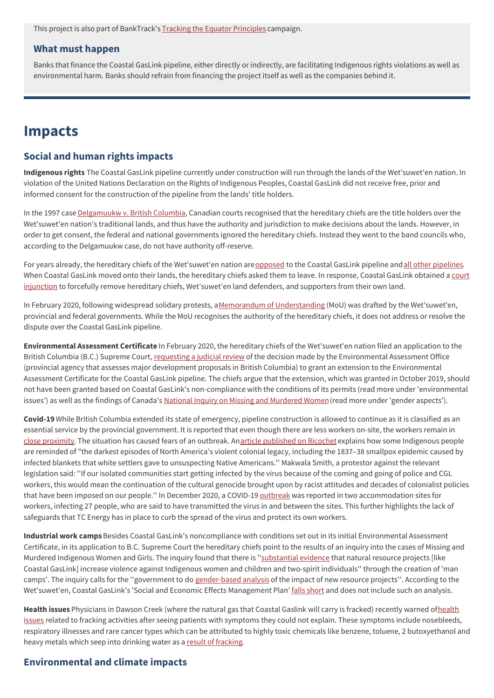This project is also part of BankTrack's Tracking the Equator [Principles](https://www.banktrack.org/campaign/tracking_the_equator_principles) campaign.

#### **What must happen**

Banks that finance the Coastal GasLink pipeline, either directly or indirectly, are facilitating Indigenous rights violations as well as environmental harm. Banks should refrain from financing the project itself as well as the companies behind it.

## **Impacts**

### **Social and human rights impacts**

**Indigenous rights** The Coastal GasLink pipeline currently under construction will run through the lands of the Wet'suwet'en nation. In violation of the United Nations Declaration on the Rights of Indigenous Peoples, Coastal GasLink did not receive free, prior and informed consent for the construction of the pipeline from the lands' title holders.

In the 1997 case [Delgamuukw](http://www.bctreaty.ca/sites/default/files/delgamuukw.pdf) v. British Columbia, Canadian courts recognised that the hereditary chiefs are the title holders over the Wet'suwet'en nation's traditional lands, and thus have the authority and jurisdiction to make decisions about the lands. However, in order to get consent, the federal and national governments ignored the hereditary chiefs. Instead they went to the band councils who, according to the Delgamuukw case, do not have authority off-reserve.

For years already, the hereditary chiefs of the Wet'suwet'en nation are [opposed](https://ricochet.media/en/3092/coastal-gaslink-pipeline-construction-continues-during-pandemic-and-so-does-resistance) to the Coastal GasLink pipeline and all other [pipelines](https://www.youtube.com/watch?v=xA1dihXTjBU&feature=emb_title). When Coastal GasLink moved onto their lands, the hereditary chiefs asked them to leave. In response, Coastal GasLink obtained a court injunction to forcefully remove hereditary chiefs, [Wet'suwet'en](https://www.coastalgaslink.com/siteassets/pdfs/whats-new/2019/2019-12-31-coastal-gaslink-comments-on-injunction-decision/judge-church--coastal-gaslink-pipeline-ltd.-v.-huson--december-2019.pdf) land defenders, and supporters from their own land.

In February 2020, following widespread solidary protests, aMemorandum of [Understanding](https://www.banktrack.org/download/memorandum_of_understanding/signed_mou_bc__canada_and_wetsuweten_may_14__2020.pdf) (MoU) was drafted by the Wet'suwet'en, provincial and federal governments. While the MoU recognises the authority of the hereditary chiefs, it does not address or resolve the dispute over the Coastal GasLink pipeline.

**Environmental Assessment Certificate** In February 2020, the hereditary chiefs of the Wet'suwet'en nation filed an application to the British Columbia (B.C.) Supreme Court, [requesting](https://thenarwhal.ca/b-c-failed-to-consider-links-between-man-camps-violence-against-indigenous-women-wetsuweten-argue/) a judicial review of the decision made by the Environmental Assessment Office (provincial agency that assesses major development proposals in British Columbia) to grant an extension to the Environmental Assessment Certificate for the Coastal GasLink pipeline. The chiefs argue that the extension, which was granted in October 2019, should not have been granted based on Coastal GasLink's non-compliance with the conditions of its permits (read more under 'environmental issues') as well as the findings of Canada's National Inquiry on Missing and [Murdered](https://www.mmiwg-ffada.ca/final-report/) Women(read more under 'gender aspects').

**Covid-19** While British Columbia extended its state of emergency, pipeline construction is allowed to continue as it is classified as an essential service by the provincial government. It is reported that even though there are less workers on-site, the workers remain in close [proximity](https://ricochet.media/en/3092/coastal-gaslink-pipeline-construction-continues-during-pandemic-and-so-does-resistance). The situation has caused fears of an outbreak. Anarticle [published](https://ricochet.media/en/3092/coastal-gaslink-pipeline-construction-continues-during-pandemic-and-so-does-resistance) on Ricochet explains how some Indigenous people are reminded of "the darkest episodes of North America's violent colonial legacy, including the 1837–38 smallpox epidemic caused by infected blankets that white settlers gave to unsuspecting Native Americans.'' Makwala Smith, a protestor against the relevant legislation said: ''If our isolated communities start getting infected by the virus because of the coming and going of police and CGL workers, this would mean the continuation of the cultural genocide brought upon by racist attitudes and decades of colonialist policies that have been imposed on our people." In December 2020, a COVID-19 [outbreak](https://www.cbc.ca/news/canada/british-columbia/covid-19-outbreak-coastal-gaslink-1.5849605) was reported in two accommodation sites for workers, infecting 27 people, who are said to have transmitted the virus in and between the sites. This further highlights the lack of safeguards that TC Energy has in place to curb the spread of the virus and protect its own workers.

**Industrial work camps**Besides Coastal GasLink's noncompliance with conditions set out in its initial Environmental Assessment Certificate, in its application to B.C. Supreme Court the hereditary chiefs point to the results of an inquiry into the cases of Missing and Murdered Indigenous Women and Girls. The inquiry found that there is "substantial evidence that natural resource projects [like Coastal GasLink] increase violence against Indigenous women and children and two-spirit individuals'' through the creation of 'man camps'. The inquiry calls for the "government to do [gender-based](https://www.nationalobserver.com/2020/03/09/news/coastal-gaslink-broke-bc-pipeline-rules-more-50-times) analysis of the impact of new resource projects". According to the Wet'suwet'en, Coastal GasLink's 'Social and Economic Effects Management Plan' falls [short](https://biv.com/article/2020/02/environmental-assessment-office-granted-extension-coastal-gaslink-project-based) and does not include such an analysis.

**Health issues** Physicians in Dawson Creek (where the natural gas that Coastal Gaslink will carry is fracked) recently warned ofhealth issues related to fracking activities after seeing patients with symptoms they could not explain. These symptoms include [nosebleeds](https://thenarwhal.ca/potential-health-impacts-of-fracking-in-b-c-worry-dawson-creek-physicians/), respiratory illnesses and rare cancer types which can be attributed to highly toxic chemicals like benzene, toluene, 2 butoxyethanol and heavy metals which seep into drinking water as a result of [fracking](https://www.greenpeace.org/usa/global-warming/issues/fracking/environmental-impacts-water/).

## **Environmental and climate impacts**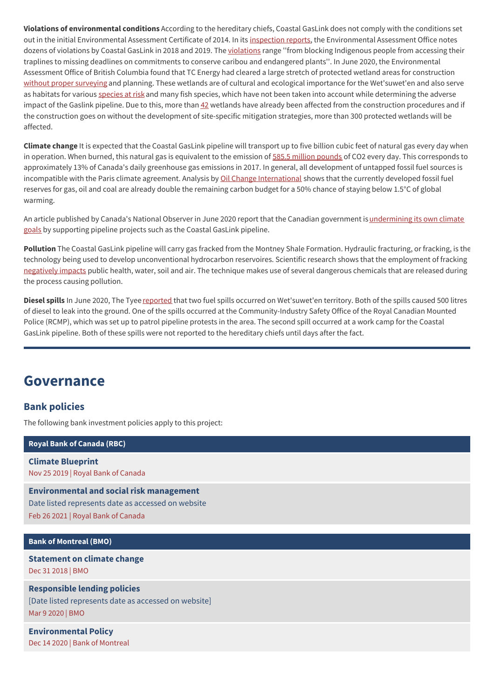**Violations of environmental conditions** According to the hereditary chiefs, Coastal GasLink does not comply with the conditions set out in the initial Environmental Assessment Certificate of 2014. In its [inspection](https://www.projects.eao.gov.bc.ca/p/588511c4aaecd9001b825604/documents) reports, the Environmental Assessment Office notes dozens of [violations](https://www.nationalobserver.com/2020/03/09/news/coastal-gaslink-broke-bc-pipeline-rules-more-50-times) by Coastal GasLink in 2018 and 2019. The violations range "from blocking Indigenous people from accessing their traplines to missing deadlines on commitments to conserve caribou and endangered plants''. In June 2020, the Environmental Assessment Office of British Columbia found that TC Energy had cleared a large stretch of protected wetland areas for construction without proper [surveying](https://thenarwhal.ca/coastal-gaslink-stop-work-order-protected-wetlands/) and planning. These wetlands are of cultural and ecological importance for the Wet'suwet'en and also serve as habitats for various [species](http://www.wetsuweten.com/files/Wetsuweten_Title_and_Rights_report_to_EAO_for_Coastal_GasLink_Application.pdf) at risk and many fish species, which have not been taken into account while determining the adverse impact of the Gaslink pipeline. Due to this, more than [42](https://thenarwhal.ca/coastal-gaslink-stop-work-order-protected-wetlands/) wetlands have already been affected from the construction procedures and if the construction goes on without the development of site-specific mitigation strategies, more than 300 protected wetlands will be affected.

**Climate change** It is expected that the Coastal GasLink pipeline will transport up to five billion cubic feet of natural gas every day when in operation. When burned, this natural gas is equivalent to the emission of 585.5 million [pounds](https://www.pressreader.com/canada/the-province/20200123/281642487137349) of CO2 every day. This corresponds to approximately 13% of Canada's daily greenhouse gas emissions in 2017. In general, all development of untapped fossil fuel sources is incompatible with the Paris climate agreement. Analysis by Oil Change [International](http://priceofoil.org/2018/10/17/the-skys-limit-ipcc-report-15-degrees-of-warming/) shows that the currently developed fossil fuel reserves for gas, oil and coal are already double the remaining carbon budget for a 50% chance of staying below 1.5°C of global warming.

An article published by Canada's National Observer in June 2020 report that the Canadian government is undermining its own climate goals by supporting pipeline projects such as the Coastal GasLink pipeline.

**Pollution** The Coastal GasLink pipeline will carry gas fracked from the Montney Shale Formation. Hydraulic fracturing, or fracking, is the technology being used to develop unconventional hydrocarbon reservoires. Scientific research shows that the employment of fracking [negatively](http://www.boell.de/sites/default/files/megaproject.pdf) impacts public health, water, soil and air. The technique makes use of several dangerous chemicals that are released during the process causing pollution.

**Diesel spills** In June 2020, The Tyee [reported](https://thetyee.ca/News/2020/06/04/Pipeline-Spill-Wetsuweten-Territory/) that two fuel spills occurred on Wet'suwet'en territory. Both of the spills caused 500 litres of diesel to leak into the ground. One of the spills occurred at the Community-Industry Safety Office of the Royal Canadian Mounted Police (RCMP), which was set up to patrol pipeline protests in the area. The second spill occurred at a work camp for the Coastal GasLink pipeline. Both of these spills were not reported to the hereditary chiefs until days after the fact.

## **Governance**

## **Bank policies**

The following bank investment policies apply to this project:

**Royal Bank of [Canada](https://www.banktrack.org/show/bankprofile/rbc) (RBC)**

**Climate [Blueprint](https://www.banktrack.org/download/climate_change_policy_2)** Nov 25 2019 | Royal Bank of Canada

**[Environmental](https://www.rbc.com/community-social-impact/environment/environmental-social-risk-management.html) and social risk management** Date listed represents date as accessed on website Feb 26 2021 | Royal Bank of Canada

#### **Bank of [Montreal](https://www.banktrack.org/show/bankprofile/bmo_financial_group) (BMO)**

**[Statement](https://www.banktrack.org/download/statement_on_climate_change_3) on climate change** Dec 31 2018 | BMO

**[Responsible](https://our-impact.bmo.com/our-practices/environmental-social-risk-management/) lending policies** [Date listed represents date as accessed on website] Mar 9 2020 | BMO

**[Environmental](https://www.banktrack.org/download/environmental_policy_49) Policy** Dec 14 2020 | Bank of Montreal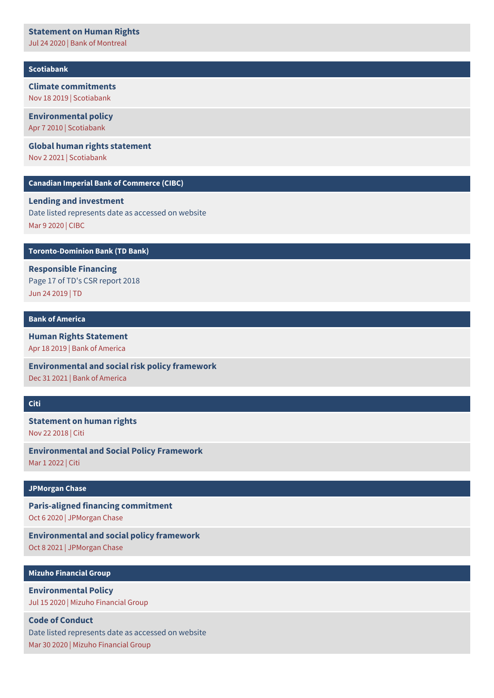#### **[Statement](https://www.banktrack.org/download/statement_on_human_rights_2020) on Human Rights**

Jul 24 2020 | Bank of Montreal

#### **[Scotiabank](https://www.banktrack.org/show/bankprofile/scotiabank)**

## **Climate [commitments](https://www.banktrack.org/download/climate_commitments_1)**

Nov 18 2019 | Scotiabank

### **[Environmental](http://www.scotiabank.com/ca/common/pdf/about_scotia/overview_of_scotiabank_environmental_policy.pdf) policy**

#### Apr 7 2010 | Scotiabank

#### **Global human rights [statement](https://www.banktrack.org/download/global_human_rights_statement)**

Nov 2 2021 | Scotiabank

#### **Canadian Imperial Bank of [Commerce](https://www.banktrack.org/show/bankprofile/cibc) (CIBC)**

### **Lending and [investment](https://www.cibc.com/en/about-cibc/corporate-responsibility/environment/lending-and-investment.html)**

Date listed represents date as accessed on website Mar 9 2020 | CIBC

#### **[Toronto-Dominion](https://www.banktrack.org/show/bankprofile/td_bank_financial_group) Bank (TD Bank)**

**[Responsible](https://www.td.com/document/PDF/corporateresponsibility/2018-ESG-Report.pdf) Financing** Page 17 of TD's CSR report 2018 Jun 24 2019 | TD

#### **Bank of [America](https://www.banktrack.org/show/bankprofile/bank_of_america)**

## **Human Rights [Statement](https://www.banktrack.org/download/human_rights_statement_8)**

Apr 18 2019 | Bank of America

**[Environmental](https://www.banktrack.org/download/environmental_and_social_risk_policy_framework_9) and social risk policy framework** Dec 31 2021 | Bank of America

#### **[Citi](https://www.banktrack.org/show/bankprofile/citi)**

## **[Statement](https://www.banktrack.org/download/statement_on_human_rights_6) on human rights** Nov 22 2018 | Citi

**[Environmental](https://www.banktrack.org/download/environmental_and_social_policy_framework_11) and Social Policy Framework** Mar 1 2022 | Citi

#### **[JPMorgan](https://www.banktrack.org/show/bankprofile/jpmorgan_chase) Chase**

**[Paris-aligned](https://www.jpmorganchase.com/ir/news/2020/adopts-paris-aligned-financing-commitment) financing commitment** Oct 6 2020 | JPMorgan Chase

**[Environmental](https://www.banktrack.org/download/environmental_and_social_policy_framework_10) and social policy framework** Oct 8 2021 | JPMorgan Chase

#### **Mizuho [Financial](https://www.banktrack.org/show/bankprofile/mizuho) Group**

**[Environmental](https://www.mizuhogroup.com/sustainability/environment/policy/environmentalpolicy) Policy** Jul 15 2020 | Mizuho Financial Group

### **Code of Conduct**

Date listed [represents](https://www.mizuhogroup.com/sustainability/mizuhocsr/management/code) date as accessed on website

Mar 30 2020 | Mizuho Financial Group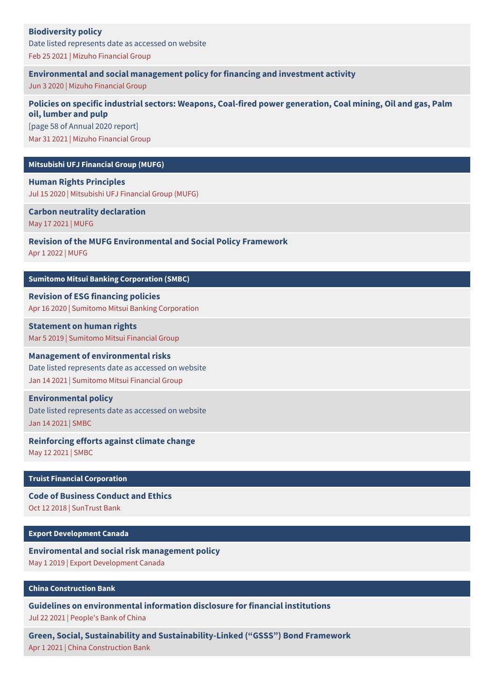## **[Biodiversity](https://www.mizuhogroup.com/sustainability/environment/biodiversity) policy**

Date listed represents date as accessed on website Feb 25 2021 | Mizuho Financial Group

**[Environmental](https://www.banktrack.org/download/environmental_and_social_management_policy_for_financing_and_investment_activity) and social management policy for financing and investment activity**

Jun 3 2020 | Mizuho Financial Group

## **Policies on specific industrial sectors: Weapons, Coal-fired power [generation,](https://www.banktrack.org/download/policies_on_specific_industrial_sectors_weapons_coalfired_power_generation_coal_mining_oil_and_gas_palm_oil_lumber_and_pulp) Coal mining, Oil and gas, Palm oil, lumber and pulp**

[page 58 of Annual 2020 report] Mar 31 2021 | Mizuho Financial Group

#### **[Mitsubishi](https://www.banktrack.org/show/bankprofile/bank_of_tokyo_mitsubishi_ufj) UFJ Financial Group (MUFG)**

**Human Rights [Principles](https://www.mufg.jp/english/csr/policy/index.html)** Jul 15 2020 | Mitsubishi UFJ Financial Group (MUFG)

**Carbon neutrality [declaration](https://www.banktrack.org/download/carbon_neutrality_declaration)** May 17 2021 | MUFG

**Revision of the MUFG [Environmental](https://www.mufg.jp/dam/pressrelease/2022/pdf/news-20220401-001_en.pdf) and Social Policy Framework**

Apr 1 2022 | MUFG

#### **Sumitomo Mitsui Banking [Corporation](https://www.banktrack.org/show/bankprofile/sumitomo_mitsui_banking_corporation) (SMBC)**

**Revision of ESG [financing](https://www.smbc.co.jp/news_e/e600579_01.html) policies** Apr 16 2020 | Sumitomo Mitsui Banking Corporation

**[Statement](https://www.banktrack.org/download/statement_on_human_rights_8) on human rights** Mar 5 2019 | Sumitomo Mitsui Financial Group

#### **Management of [environmental](https://www.smfg.co.jp/english/responsibility/smfgcsr/esg_initiative/risk/) risks**

Date listed represents date as accessed on website Jan 14 2021 | Sumitomo Mitsui Financial Group

### **[Environmental](https://www.smfg.co.jp/english/sustainability/esg/environment/) policy**

Date listed represents date as accessed on website Jan 14 2021 | SMBC

## **[Reinforcing](https://www.banktrack.org/download/reinforcing_efforts_against_climate_change) efforts against climate change**

May 12 2021 | SMBC

**Truist Financial [Corporation](https://www.banktrack.org/show/bankprofile/suntrust_bank)**

**Code of [Business](https://www.banktrack.org/download/code_of_business_conduct_and_ethics_8) Conduct and Ethics** Oct 12 2018 | SunTrust Bank

**Export [Development](https://www.banktrack.org/show/bankprofile/export_development_canada) Canada**

**[Enviromental](https://www.banktrack.org/download/enviromental_and_social_risk_management_policy) and social risk management policy** May 1 2019 | Export Development Canada

**China [Construction](https://www.banktrack.org/show/bankprofile/china_construction_bank) Bank**

**Guidelines on [environmental](https://chinadevelopmentbrief.cn/wp-content/uploads/2021/08/Guidelines-for-financial-institutions-environmental-information-disclosure.pdf) information disclosure for financial institutions** Jul 22 2021 | People's Bank of China

**Green, Social, Sustainability and [Sustainability-Linked](https://www.banktrack.org/download/green_social_sustainability_and_sustainabilitylinked_gsss_bond_framework) ("GSSS") Bond Framework** Apr 1 2021 | China Construction Bank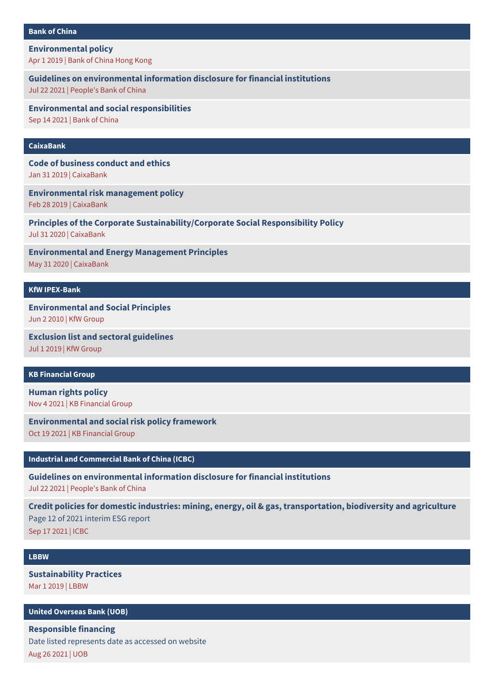#### **Bank of [China](https://www.banktrack.org/show/bankprofile/bank_of_china)**

#### **[Environmental](https://www.banktrack.org/download/environmental_policy_32) policy**

Apr 1 2019 | Bank of China Hong Kong

#### **Guidelines on [environmental](https://chinadevelopmentbrief.cn/wp-content/uploads/2021/08/Guidelines-for-financial-institutions-environmental-information-disclosure.pdf) information disclosure for financial institutions**

Jul 22 2021 | People's Bank of China

**Environmental and social [responsibilities](https://www.banktrack.org/download/environmental_and_social_responsibilities)**

Sep 14 2021 | Bank of China

## **[CaixaBank](https://www.banktrack.org/show/bankprofile/CaixaBank)**

**Code of [business](https://www.banktrack.org/download/code_of_business_conduct_and_ethics_7) conduct and ethics** Jan 31 2019 | CaixaBank

**[Environmental](https://www.banktrack.org/download/environmental_risk_management_policy_1) risk management policy**

Feb 28 2019 | CaixaBank

**Principles of the Corporate [Sustainability/Corporate](https://www.banktrack.org/download/principles_of_the_corporate_sustainabilitycorporate_social_responsibility_policy) Social Responsibility Policy**

Jul 31 2020 | CaixaBank

**[Environmental](https://www.banktrack.org/download/environmental_risk_management_policy_2) and Energy Management Principles** May 31 2020 | CaixaBank

#### **KfW [IPEX-Bank](https://www.banktrack.org/show/bankprofile/kfw_ipex_bank)**

**[Environmental](https://www.banktrack.org/download/environmental_and_social_principles) and Social Principles**

Jun 2 2010 | KfW Group

**Exclusion list and sectoral [guidelines](https://www.kfw.de/PDF/Download-Center/Konzernthemen/Nachhaltigkeit/Ausschlussliste_EN.pdf)** Jul 1 2019 | KfW Group

#### **KB [Financial](https://www.banktrack.org/show/bankprofile/kb_financial_group) Group**

**[Human](https://www.banktrack.org/download/human_rights_policy_38) rights policy** Nov 4 2021 | KB Financial Group

**[Environmental](https://www.banktrack.org/download/environmental_and_social_risk_policy_framework_10) and social risk policy framework**

Oct 19 2021 | KB Financial Group

### **Industrial and [Commercial](https://www.banktrack.org/show/bankprofile/industrial_commercial_bank_of_china) Bank of China (ICBC)**

**Guidelines on [environmental](https://chinadevelopmentbrief.cn/wp-content/uploads/2021/08/Guidelines-for-financial-institutions-environmental-information-disclosure.pdf) information disclosure for financial institutions**

Jul 22 2021 | People's Bank of China

**Credit policies for domestic industries: mining, energy, oil & gas, [transportation,](https://www.banktrack.org/download/2021_interim_esg_report_includes_credit_policies_on_mining_energy_oil_gas_transportation_biodiversity_and_agriculture) biodiversity and agriculture** Page 12 of 2021 interim ESG report Sep 17 2021 | ICBC

#### **[LBBW](https://www.banktrack.org/show/bankprofile/lbbw)**

**[Sustainability](https://www.banktrack.org/download/sustainability_practices) Practices** Mar 1 2019 | LBBW

#### **United [Overseas](https://www.banktrack.org/show/bankprofile/uob) Bank (UOB)**

**[Responsible](https://www.uobgroup.com/uobgroup/sustainability/responsible-financing.page) financing** Date listed represents date as accessed on website Aug 26 2021 | UOB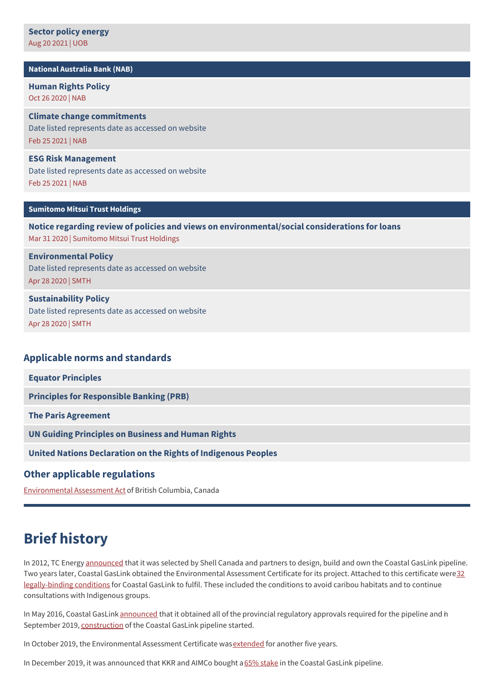#### **National [Australia](https://www.banktrack.org/show/bankprofile/national_australia_bank_group) Bank (NAB)**

**[Human](https://www.banktrack.org/download/human_rights_policy_36) Rights Policy** Oct 26 2020 | NAB

**Climate change [commitments](https://www.nab.com.au/about-us/corporate-responsibility/environment/climate-change)** Date listed represents date as accessed on website Feb 25 2021 | NAB

**ESG Risk [Management](https://www.nab.com.au/about-us/social-impact/shareholders/esg-risk-management)** Date listed represents date as accessed on website Feb 25 2021 | NAB

#### **[Sumitomo](https://www.banktrack.org/show/bankprofile/sumitomo_mitsui_trust_holdings) Mitsui Trust Holdings**

**Notice regarding review of policies and views on [environmental/social](https://www.banktrack.org/download/notice_regarding_review_of_policies_and_views_on_environmentalsocial_considerations_for_loansr) considerations for loans** Mar 31 2020 | Sumitomo Mitsui Trust Holdings

**[Environmental](http://smth.jp/en/csr/management/environmental_policy/index.html) Policy** Date listed represents date as accessed on website Apr 28 2020 | SMTH

## **[Sustainability](http://smth.jp/en/csr/philosophy/csr_policy/index.html) Policy**

Date listed represents date as accessed on website Apr 28 2020 | SMTH

### **Applicable norms and standards**

**Equator [Principles](http://www.equator-principles.com)**

**Principles for [Responsible](http://www.unepfi.org/banking/bankingprinciples/) Banking (PRB)**

**The Paris [Agreement](https://unfccc.int/process-and-meetings/the-paris-agreement/the-paris-agreement)**

**UN Guiding [Principles](http://business-humanrights.org/en/un-guiding-principles) on Business and Human Rights**

**United Nations [Declaration](http://www.un.org/esa/socdev/unpfii/documents/DRIPS_en.pdf) on the Rights of Indigenous Peoples**

#### **Other applicable regulations**

[Environmental](http://www.bclaws.ca/civix/document/id/complete/statreg/18051) Assessment Act of British Columbia, Canada

## **Brief history**

In 2012, TC Energy [announced](https://www.coastalgaslink.com/whats-new/news-stories/2012/2012-06-05transcanada-selected-by-shell-and-partners-to-develop-multi-billion-dollar-natural-gas-pipeline-to-canadas-west-coast/) that it was selected by Shell Canada and partners to design, build and own the Coastal GasLink pipeline. Two years later, Coastal GasLink obtained the Environmental Assessment Certificate for its project. Attached to this certificate were32 [legally-binding](https://projects.eao.gov.bc.ca/api/public/document/58868fd8e036fb0105768796/download/Table%20of%20Conditions.pdf) conditions for Coastal GasLink to fulfil. These included the conditions to avoid caribou habitats and to continue consultations with Indigenous groups.

In May 2016, Coastal GasLink [announced](https://www.coastalgaslink.com/whats-new/news-stories/2016/2016-05-10project-receives-all-remaining-bc-oil-and-gas-commission-construction-permits/) that it obtained all of the provincial regulatory approvals required for the pipeline and n September 2019, [construction](https://www.coastalgaslink.com/construction) of the Coastal GasLink pipeline started.

In October 2019, the Environmental Assessment Certificate was [extended](https://projects.eao.gov.bc.ca/api/public/document/5da9f6fe5cbf570021016fa2/download/350810_Forrest_FINAL.pdf) for another five years.

In December 2019, it was announced that KKR and AIMCo bought a 65% [stake](https://www.businesswire.com/news/home/20191226005038/en/KKR-Acquire-Significant-Stake-Canada%25E2%2580%2599s-Coastal-GasLink) in the Coastal GasLink pipeline.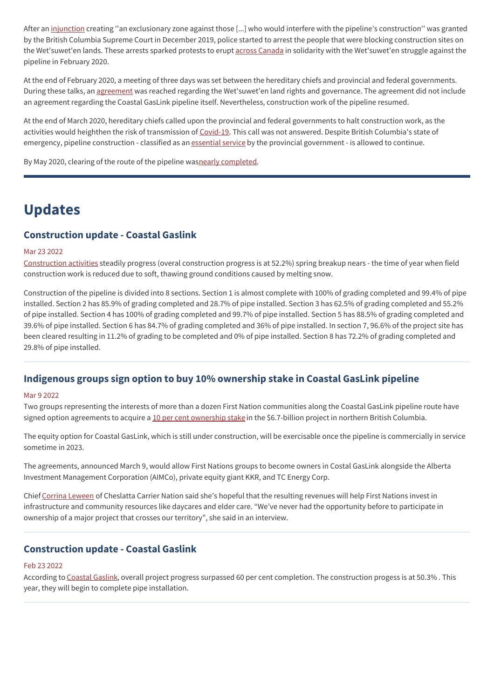After an [injunction](https://www.coastalgaslink.com/siteassets/pdfs/whats-new/2019/2019-12-31-coastal-gaslink-comments-on-injunction-decision/judge-church--coastal-gaslink-pipeline-ltd.-v.-huson--december-2019.pdf) creating "an exclusionary zone against those [...] who would interfere with the pipeline's construction" was granted by the British Columbia Supreme Court in December 2019, police started to arrest the people that were blocking construction sites on the Wet'suwet'en lands. These arrests sparked protests to erupt across [Canada](https://globalnews.ca/news/6558170/wetsuweten-protests-canada-update/) in solidarity with the Wet'suwet'en struggle against the pipeline in February 2020.

At the end of February 2020, a meeting of three days was set between the hereditary chiefs and provincial and federal governments. During these talks, an [agreement](https://www.forgetthebox.net/wetsuweten-traditional-land-rights-finally-recognized-202006031/) was reached regarding the Wet'suwet'en land rights and governance. The agreement did not include an agreement regarding the Coastal GasLink pipeline itself. Nevertheless, construction work of the pipeline resumed.

At the end of March 2020, hereditary chiefs called upon the provincial and federal governments to halt construction work, as the activities would heighthen the risk of transmission of [Covid-19](https://www.straight.com/covid-19-pandemic/union-of-bc-indian-chiefs-demand-closure-of-coastal-gaslink-work-camps). This call was not answered. Despite British Columbia's state of emergency, pipeline construction - classified as an [essential](https://ricochet.media/en/3092/coastal-gaslink-pipeline-construction-continues-during-pandemic-and-so-does-resistance) service by the provincial government - is allowed to continue.

By May 2020, clearing of the route of the pipeline wasnearly [completed](https://www.alaskahighwaynews.ca/regional-news/coastal-gaslink-route-nearly-cleared-1.24139701).

## **Updates**

## **Construction update - Coastal Gaslink**

#### Mar 23 2022

[Construction](https://www.coastalgaslink.com/siteassets/pdfs/construction/updates/cgl-construction-update-march-2022.pdf) activities steadily progress (overal construction progress is at 52.2%) spring breakup nears - the time of year when field construction work is reduced due to soft, thawing ground conditions caused by melting snow.

Construction of the pipeline is divided into 8 sections. Section 1 is almost complete with 100% of grading completed and 99.4% of pipe installed. Section 2 has 85.9% of grading completed and 28.7% of pipe installed. Section 3 has 62.5% of grading completed and 55.2% of pipe installed. Section 4 has 100% of grading completed and 99.7% of pipe installed. Section 5 has 88.5% of grading completed and 39.6% of pipe installed. Section 6 has 84.7% of grading completed and 36% of pipe installed. In section 7, 96.6% of the project site has been cleared resulting in 11.2% of grading to be completed and 0% of pipe installed. Section 8 has 72.2% of grading completed and 29.8% of pipe installed.

## **Indigenous groups sign option to buy 10% ownership stake in Coastal GasLink pipeline**

#### Mar 9 2022

Two groups representing the interests of more than a dozen First Nation communities along the Coastal GasLink pipeline route have signed option agreements to acquire a 10 per cent [ownership](https://thenarwhal.ca/coastal-gaslink-first-nations-sale/) stake in the \$6.7-billion project in northern British Columbia.

The equity option for Coastal GasLink, which is still under construction, will be exercisable once the pipeline is commercially in service sometime in 2023.

The agreements, announced March 9, would allow First Nations groups to become owners in Costal GasLink alongside the Alberta Investment Management Corporation (AIMCo), private equity giant KKR, and TC Energy Corp.

Chief Corrina [Leween](https://financialpost.com/commodities/energy/oil-gas/indigenous-groups-sign-option-to-buy-10-ownership-stake-in-coastal-gaslink-pipeline) of Cheslatta Carrier Nation said she's hopeful that the resulting revenues will help First Nations invest in infrastructure and community resources like daycares and elder care. "We've never had the opportunity before to participate in ownership of a major project that crosses our territory", she said in an interview.

## **Construction update - Coastal Gaslink**

#### Feb 23 2022

According to [Coastal](https://www.coastalgaslink.com/siteassets/pdfs/construction/updates/cgl-construction-update-february-2022.pdf) Gaslink, overall project progress surpassed 60 per cent completion. The construction progess is at 50.3%. This year, they will begin to complete pipe installation.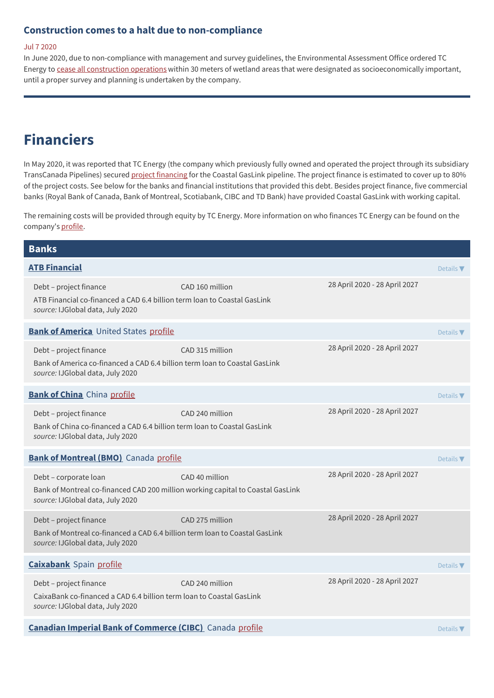## **Construction comes to a halt due to non-compliance**

#### Jul 7 2020

In June 2020, due to non-compliance with management and survey guidelines, the Environmental Assessment Office ordered TC Energy to cease all [construction](https://thenarwhal.ca/coastal-gaslink-stop-work-order-protected-wetlands/) operations within 30 meters of wetland areas that were designated as socioeconomically important, until a proper survey and planning is undertaken by the company.

## **Financiers**

In May 2020, it was reported that TC Energy (the company which previously fully owned and operated the project through its subsidiary TransCanada Pipelines) secured project [financing](https://www.worldpipelines.com/project-news/26052020/tc-energy-announces-completion-of-coastal-gaslink-agreements/) for the Coastal GasLink pipeline. The project finance is estimated to cover up to 80% of the project costs. See below for the banks and financial institutions that provided this debt. Besides project finance, five commercial banks (Royal Bank of Canada, Bank of Montreal, Scotiabank, CIBC and TD Bank) have provided Coastal GasLink with working capital.

The remaining costs will be provided through equity by TC Energy. More information on who finances TC Energy can be found on the company's [profile](http://www.banktrack.org/company/transcanada).

| <b>Banks</b>                                                                                                                                 |                 |                               |                              |
|----------------------------------------------------------------------------------------------------------------------------------------------|-----------------|-------------------------------|------------------------------|
| <b>ATB Financial</b>                                                                                                                         |                 |                               | Details $\nabla$             |
| Debt - project finance<br>ATB Financial co-financed a CAD 6.4 billion term loan to Coastal GasLink<br>source: IJGlobal data, July 2020       | CAD 160 million | 28 April 2020 - 28 April 2027 |                              |
| <b>Bank of America</b> United States profile                                                                                                 |                 |                               | Details $\nabla$             |
| Debt - project finance<br>Bank of America co-financed a CAD 6.4 billion term loan to Coastal GasLink<br>source: IJGlobal data, July 2020     | CAD 315 million | 28 April 2020 - 28 April 2027 |                              |
| <b>Bank of China</b> China profile                                                                                                           |                 |                               | Details $\nabla$             |
| Debt - project finance<br>Bank of China co-financed a CAD 6.4 billion term loan to Coastal GasLink<br>source: IJGlobal data, July 2020       | CAD 240 million | 28 April 2020 - 28 April 2027 |                              |
| <b>Bank of Montreal (BMO)</b> Canada profile                                                                                                 |                 |                               | Details $\nabla$             |
| Debt - corporate loan<br>Bank of Montreal co-financed CAD 200 million working capital to Coastal GasLink<br>source: IJGlobal data, July 2020 | CAD 40 million  | 28 April 2020 - 28 April 2027 |                              |
| Debt - project finance<br>Bank of Montreal co-financed a CAD 6.4 billion term loan to Coastal GasLink<br>source: IJGlobal data, July 2020    | CAD 275 million | 28 April 2020 - 28 April 2027 |                              |
| <b>Caixabank Spain profile</b>                                                                                                               |                 |                               | Details $\nabla$             |
| Debt - project finance<br>CaixaBank co-financed a CAD 6.4 billion term loan to Coastal GasLink<br>source: IJGlobal data, July 2020           | CAD 240 million | 28 April 2020 - 28 April 2027 |                              |
| <b>Canadian Imperial Bank of Commerce (CIBC)</b> Canada profile                                                                              |                 |                               | Details $\blacktriangledown$ |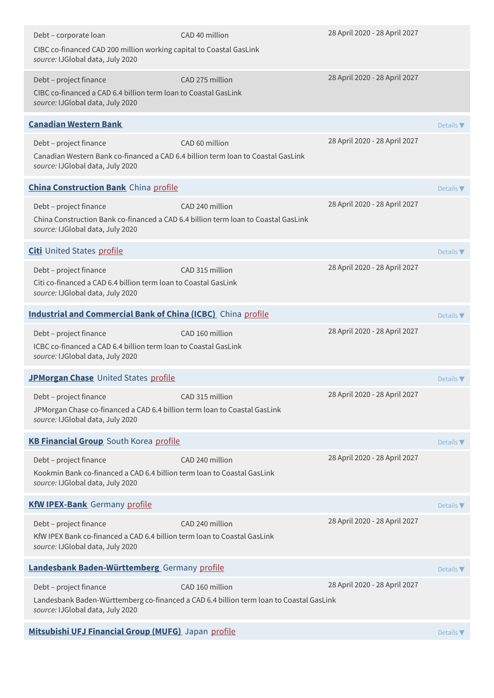| Debt - corporate loan<br>CIBC co-financed CAD 200 million working capital to Coastal GasLink<br>source: IJGlobal data, July 2020                 | CAD 40 million                                                                          | 28 April 2020 - 28 April 2027 |                              |
|--------------------------------------------------------------------------------------------------------------------------------------------------|-----------------------------------------------------------------------------------------|-------------------------------|------------------------------|
| Debt - project finance<br>CIBC co-financed a CAD 6.4 billion term loan to Coastal GasLink<br>source: IJGlobal data, July 2020                    | CAD 275 million                                                                         | 28 April 2020 - 28 April 2027 |                              |
| <b>Canadian Western Bank</b>                                                                                                                     |                                                                                         |                               | Details $\nabla$             |
| Debt - project finance<br>Canadian Western Bank co-financed a CAD 6.4 billion term loan to Coastal GasLink<br>source: IJGlobal data, July 2020   | CAD 60 million                                                                          | 28 April 2020 - 28 April 2027 |                              |
| <b>China Construction Bank</b> China profile                                                                                                     |                                                                                         |                               | Details $\blacktriangledown$ |
| Debt - project finance<br>China Construction Bank co-financed a CAD 6.4 billion term loan to Coastal GasLink<br>source: IJGlobal data, July 2020 | CAD 240 million                                                                         | 28 April 2020 - 28 April 2027 |                              |
| <b>Citi</b> United States profile                                                                                                                |                                                                                         |                               | Details $\nabla$             |
| Debt - project finance<br>Citi co-financed a CAD 6.4 billion term loan to Coastal GasLink<br>source: IJGlobal data, July 2020                    | CAD 315 million                                                                         | 28 April 2020 - 28 April 2027 |                              |
| <b>Industrial and Commercial Bank of China (ICBC)</b> China profile                                                                              |                                                                                         |                               | Details $\nabla$             |
| Debt - project finance<br>ICBC co-financed a CAD 6.4 billion term loan to Coastal GasLink<br>source: IJGlobal data, July 2020                    | CAD 160 million                                                                         | 28 April 2020 - 28 April 2027 |                              |
| JPMorgan Chase United States profile                                                                                                             |                                                                                         |                               | Details $\blacktriangledown$ |
| Debt – project finance<br>JPMorgan Chase co-financed a CAD 6.4 billion term loan to Coastal GasLink<br>source: IJGlobal data, July 2020          | CAD 315 million                                                                         | 28 April 2020 - 28 April 2027 |                              |
| <b>KB Financial Group</b> South Korea profile                                                                                                    |                                                                                         |                               | Details $\blacktriangledown$ |
| Debt - project finance<br>Kookmin Bank co-financed a CAD 6.4 billion term loan to Coastal GasLink<br>source: IJGlobal data, July 2020            | CAD 240 million                                                                         | 28 April 2020 - 28 April 2027 |                              |
| <b>KfW IPEX-Bank</b> Germany profile                                                                                                             |                                                                                         |                               | Details $\nabla$             |
| Debt - project finance<br>KfW IPEX Bank co-financed a CAD 6.4 billion term loan to Coastal GasLink<br>source: IJGlobal data, July 2020           | CAD 240 million                                                                         | 28 April 2020 - 28 April 2027 |                              |
| Landesbank Baden-Württemberg Germany profile                                                                                                     |                                                                                         |                               | Details $\nabla$             |
| Debt - project finance                                                                                                                           | CAD 160 million                                                                         | 28 April 2020 - 28 April 2027 |                              |
| source: IJGlobal data, July 2020                                                                                                                 | Landesbank Baden-Württemberg co-financed a CAD 6.4 billion term loan to Coastal GasLink |                               |                              |
| Mitsubishi UFJ Financial Group (MUFG) Japan profile                                                                                              |                                                                                         |                               | Details $\nabla$             |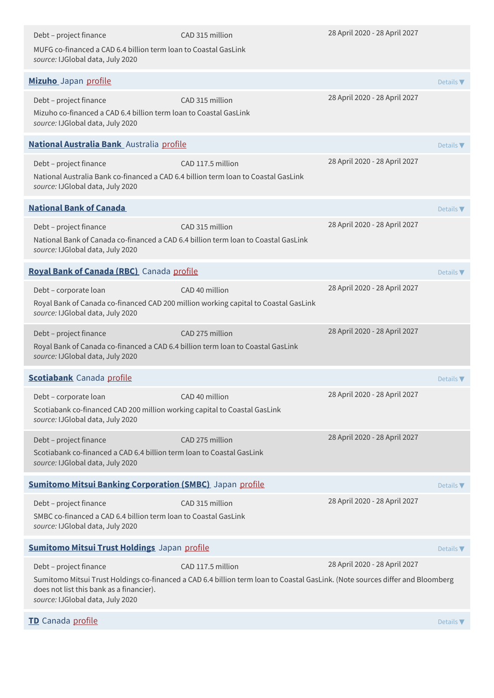| Debt - project finance<br>MUFG co-financed a CAD 6.4 billion term loan to Coastal GasLink<br>source: IJGlobal data, July 2020                    | CAD 315 million                                                                                                                                    | 28 April 2020 - 28 April 2027 |                              |
|--------------------------------------------------------------------------------------------------------------------------------------------------|----------------------------------------------------------------------------------------------------------------------------------------------------|-------------------------------|------------------------------|
| Mizuho Japan profile                                                                                                                             |                                                                                                                                                    |                               | Details $\nabla$             |
| Debt - project finance<br>Mizuho co-financed a CAD 6.4 billion term loan to Coastal GasLink<br>source: IJGlobal data, July 2020                  | CAD 315 million                                                                                                                                    | 28 April 2020 - 28 April 2027 |                              |
| National Australia Bank Australia profile                                                                                                        |                                                                                                                                                    |                               | Details $\blacktriangledown$ |
| Debt - project finance<br>National Australia Bank co-financed a CAD 6.4 billion term loan to Coastal GasLink<br>source: IJGlobal data, July 2020 | CAD 117.5 million                                                                                                                                  | 28 April 2020 - 28 April 2027 |                              |
| <b>National Bank of Canada</b>                                                                                                                   |                                                                                                                                                    |                               | Details $\nabla$             |
| Debt - project finance<br>National Bank of Canada co-financed a CAD 6.4 billion term loan to Coastal GasLink<br>source: IJGlobal data, July 2020 | CAD 315 million                                                                                                                                    | 28 April 2020 - 28 April 2027 |                              |
| Royal Bank of Canada (RBC) Canada profile                                                                                                        |                                                                                                                                                    |                               | Details $\nabla$             |
| Debt - corporate loan<br>Royal Bank of Canada co-financed CAD 200 million working capital to Coastal GasLink<br>source: IJGlobal data, July 2020 | CAD 40 million                                                                                                                                     | 28 April 2020 - 28 April 2027 |                              |
| Debt - project finance<br>Royal Bank of Canada co-financed a CAD 6.4 billion term loan to Coastal GasLink<br>source: IJGlobal data, July 2020    | CAD 275 million                                                                                                                                    | 28 April 2020 - 28 April 2027 |                              |
| <b>Scotiabank</b> Canada profile                                                                                                                 |                                                                                                                                                    |                               | Details $\blacktriangledown$ |
| Debt - corporate loan<br>Scotiabank co-financed CAD 200 million working capital to Coastal GasLink<br>source: IJGlobal data, July 2020           | CAD 40 million                                                                                                                                     | 28 April 2020 - 28 April 2027 |                              |
| Debt - project finance<br>Scotiabank co-financed a CAD 6.4 billion term loan to Coastal GasLink<br>source: IJGlobal data, July 2020              | CAD 275 million                                                                                                                                    | 28 April 2020 - 28 April 2027 |                              |
| <b>Sumitomo Mitsui Banking Corporation (SMBC)</b> Japan profile                                                                                  |                                                                                                                                                    |                               | Details $\nabla$             |
| Debt - project finance<br>SMBC co-financed a CAD 6.4 billion term loan to Coastal GasLink<br>source: IJGlobal data, July 2020                    | CAD 315 million                                                                                                                                    | 28 April 2020 - 28 April 2027 |                              |
| <b>Sumitomo Mitsui Trust Holdings</b> Japan profile                                                                                              |                                                                                                                                                    |                               | Details $\nabla$             |
| Debt - project finance<br>does not list this bank as a financier).<br>source: IJGlobal data, July 2020                                           | CAD 117.5 million<br>Sumitomo Mitsui Trust Holdings co-financed a CAD 6.4 billion term loan to Coastal GasLink. (Note sources differ and Bloomberg | 28 April 2020 - 28 April 2027 |                              |
| TD Canada profile                                                                                                                                |                                                                                                                                                    |                               | Details $\nabla$             |